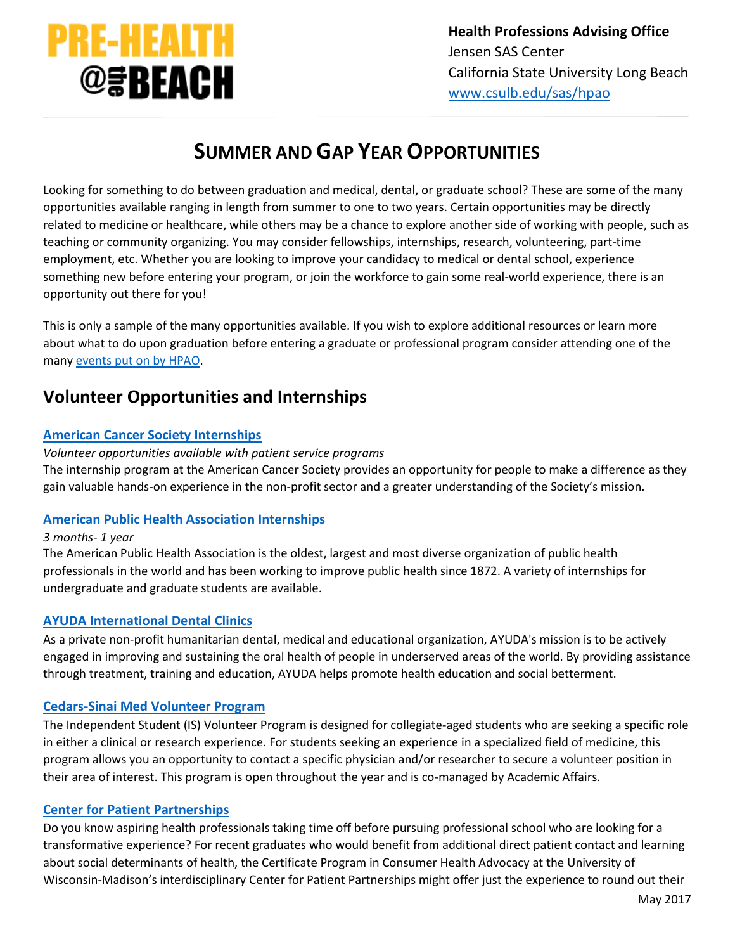

# **SUMMER AND GAP YEAR OPPORTUNITIES**

Looking for something to do between graduation and medical, dental, or graduate school? These are some of the many opportunities available ranging in length from summer to one to two years. Certain opportunities may be directly related to medicine or healthcare, while others may be a chance to explore another side of working with people, such as teaching or community organizing. You may consider fellowships, internships, research, volunteering, part-time employment, etc. Whether you are looking to improve your candidacy to medical or dental school, experience something new before entering your program, or join the workforce to gain some real-world experience, there is an opportunity out there for you!

This is only a sample of the many opportunities available. If you wish to explore additional resources or learn more about what to do upon graduation before entering a graduate or professional program consider attending one of the many [events put on by HPAO.](http://web.csulb.edu/colleges/cnsm/sas/hpao/workshops.html)

# **Volunteer Opportunities and Internships**

# **[American Cancer Society Internships](http://www.cancer.org/Involved/Volunteer/)**

*Volunteer opportunities available with patient service programs* The internship program at the American Cancer Society provides an opportunity for people to make a difference as they gain valuable hands-on experience in the non-profit sector and a greater understanding of the Society's mission.

# **American Public [Health Association Internships](http://www.apha.org/professional-development/apha-internships-and-fellowships)**

# *3 months- 1 year*

The American Public Health Association is the oldest, largest and most diverse organization of public health professionals in the world and has been working to improve public health since 1872. A variety of internships for undergraduate and graduate students are available.

# **[AYUDA International Dental Clinics](http://thedentalinsider.com/ayuda.php)**

As a private non-profit humanitarian dental, medical and educational organization, AYUDA's mission is to be actively engaged in improving and sustaining the oral health of people in underserved areas of the world. By providing assistance through treatment, training and education, AYUDA helps promote health education and social betterment.

# **[Cedars-Sinai Med Volunteer Program](http://www.cedars-sinai.edu/About-Us/Volunteer-Opportunities/Programs/Student-Programs/)**

The Independent Student (IS) Volunteer Program is designed for collegiate-aged students who are seeking a specific role in either a clinical or research experience. For students seeking an experience in a specialized field of medicine, this program allows you an opportunity to contact a specific physician and/or researcher to secure a volunteer position in their area of interest. This program is open throughout the year and is co-managed by Academic Affairs.

# **[Center for Patient](http://www.patientpartnerships.org/) Partnerships**

Do you know aspiring health professionals taking time off before pursuing professional school who are looking for a transformative experience? For recent graduates who would benefit from additional direct patient contact and learning about social determinants of health, the Certificate Program in Consumer Health Advocacy at the University of Wisconsin-Madison's interdisciplinary Center for Patient Partnerships might offer just the experience to round out their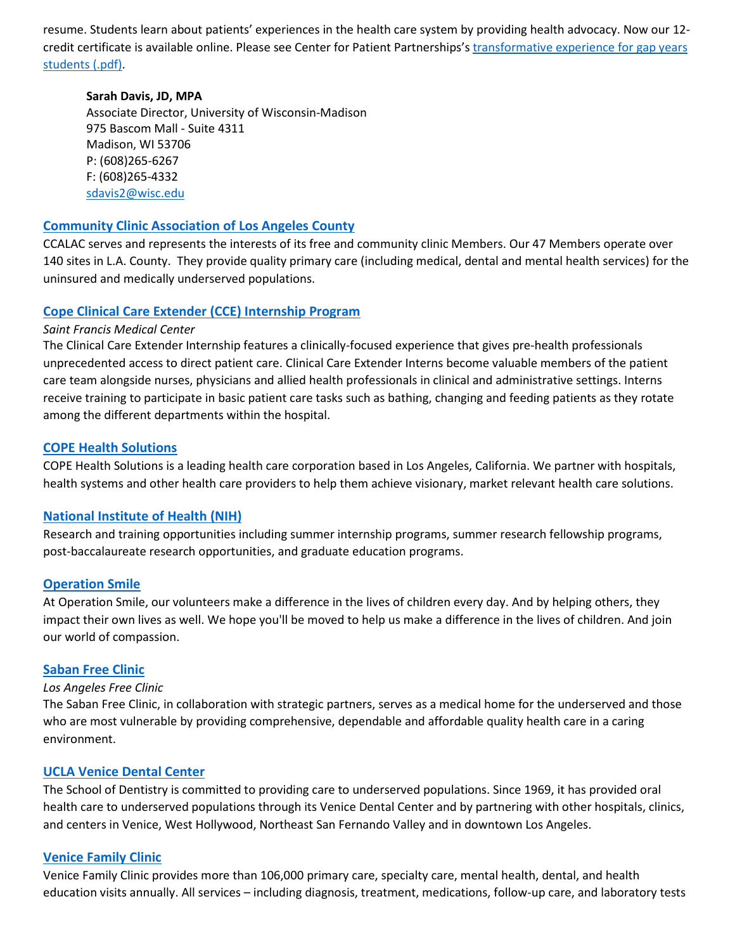resume. Students learn about patients' experiences in the health care system by providing health advocacy. Now our 12 credit certificate is available online. Please see Center for Patient Partnerships's [transformative experience for gap years](https://www.patientpartnerships.org/wp-content/uploads/2012/07/PreHealthAdvisorLetter-July2012.pdf)  [students \(.pdf\).](https://www.patientpartnerships.org/wp-content/uploads/2012/07/PreHealthAdvisorLetter-July2012.pdf)

### **Sarah Davis, JD, MPA**

Associate Director, University of Wisconsin-Madison 975 Bascom Mall - Suite 4311 Madison, WI 53706 P: (608)265-6267 F: (608)265-4332 [sdavis2@wisc.edu](mailto:sdavis2@wisc.edu)

# **[Community Clinic Association of Los Angeles County](http://www.ccalac.org/)**

CCALAC serves and represents the interests of its free and community clinic Members. Our 47 Members operate over 140 sites in L.A. County. They provide quality primary care (including medical, dental and mental health services) for the uninsured and medically underserved populations.

# **[Cope Clinical Care Extender \(CCE\) Internship Program](http://www.copehealthsolutions.org/clinical-internships/clinical-care-extender)**

## *Saint Francis Medical Center*

The Clinical Care Extender Internship features a clinically-focused experience that gives pre-health professionals unprecedented access to direct patient care. Clinical Care Extender Interns become valuable members of the patient care team alongside nurses, physicians and allied health professionals in clinical and administrative settings. Interns receive training to participate in basic patient care tasks such as bathing, changing and feeding patients as they rotate among the different departments within the hospital.

## **COPE [Health Solutions](http://www.copehealthsolutions.com/)**

COPE Health Solutions is a leading health care corporation based in Los Angeles, California. We partner with hospitals, health systems and other health care providers to help them achieve visionary, market relevant health care solutions.

# **[National Institute of Health \(NIH\)](http://www.nih.gov/science/)**

Research and training opportunities including summer internship programs, summer research fellowship programs, post-baccalaureate research opportunities, and graduate education programs.

# **[Operation Smile](http://www.operationsmile.org/)**

At Operation Smile, our volunteers make a difference in the lives of children every day. And by helping others, they impact their own lives as well. We hope you'll be moved to help us make a difference in the lives of children. And join our world of compassion.

# **[Saban Free Clinic](http://www.thesabanfreeclinic.org/)**

### *Los Angeles Free Clinic*

The Saban Free Clinic, in collaboration with strategic partners, serves as a medical home for the underserved and those who are most vulnerable by providing comprehensive, dependable and affordable quality health care in a caring environment.

### **[UCLA Venice Dental Center](http://www.dentalpipeline.org/pipelineschools/ps_ucla.html)**

The School of Dentistry is committed to providing care to underserved populations. Since 1969, it has provided oral health care to underserved populations through its Venice Dental Center and by partnering with other hospitals, clinics, and centers in Venice, West Hollywood, Northeast San Fernando Valley and in downtown Los Angeles.

### **[Venice Family Clinic](http://www.venicefamilyclinic.org/volunteers/apply)**

Venice Family Clinic provides more than 106,000 primary care, specialty care, mental health, dental, and health education visits annually. All services – including diagnosis, treatment, medications, follow-up care, and laboratory tests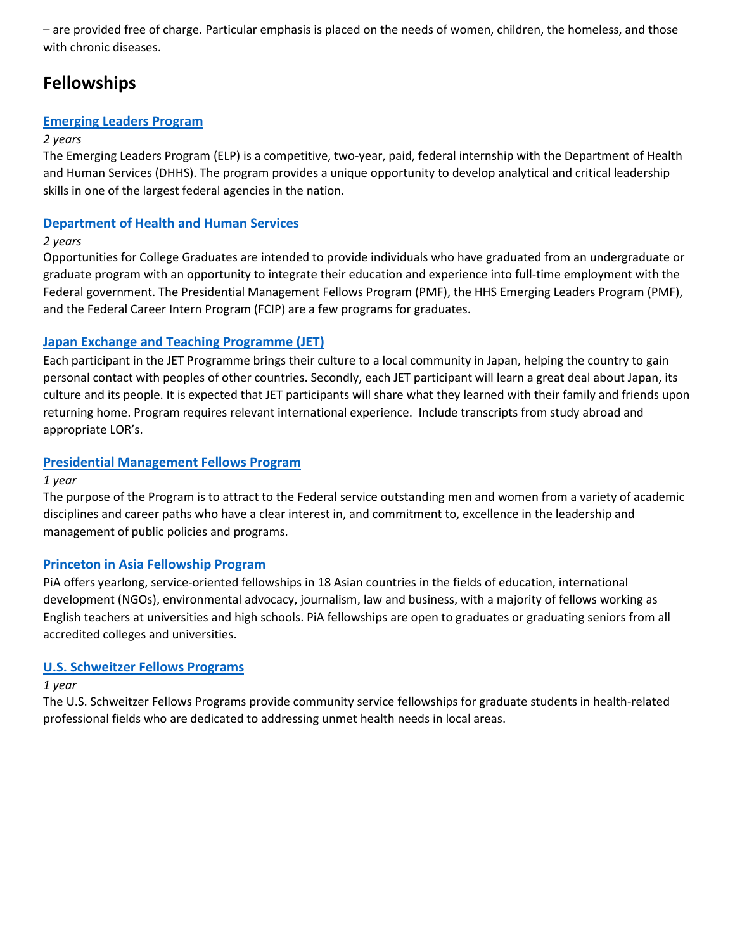– are provided free of charge. Particular emphasis is placed on the needs of women, children, the homeless, and those with chronic diseases.

# **Fellowships**

# **[Emerging Leaders Program](http://hhsu.learning.hhs.gov/elp/)**

# *2 years*

The Emerging Leaders Program (ELP) is a competitive, two-year, paid, federal internship with the Department of Health and Human Services (DHHS). The program provides a unique opportunity to develop analytical and critical leadership skills in one of the largest federal agencies in the nation.

# **[Department of Health and Human Services](http://www.hhs.gov/careers/pathways/students/)**

# *2 years*

Opportunities for College Graduates are intended to provide individuals who have graduated from an undergraduate or graduate program with an opportunity to integrate their education and experience into full-time employment with the Federal government. The Presidential Management Fellows Program (PMF), the HHS Emerging Leaders Program (PMF), and the Federal Career Intern Program (FCIP) are a few programs for graduates.

# **[Japan Exchange and Teaching Programme \(JET\)](http://www.jetprogramme.org/)**

Each participant in the JET Programme brings their culture to a local community in Japan, helping the country to gain personal contact with peoples of other countries. Secondly, each JET participant will learn a great deal about Japan, its culture and its people. It is expected that JET participants will share what they learned with their family and friends upon returning home. Program requires relevant international experience. Include transcripts from study abroad and appropriate LOR's.

# **[Presidential Management Fellows Program](http://www.pmf.gov/)**

# *1 year*

The purpose of the Program is to attract to the Federal service outstanding men and women from a variety of academic disciplines and career paths who have a clear interest in, and commitment to, excellence in the leadership and management of public policies and programs.

# **[Princeton in Asia Fellowship Program](http://piaweb.princeton.edu/for-applicants)**

PiA offers yearlong, service-oriented fellowships in 18 Asian countries in the fields of education, international development (NGOs), environmental advocacy, journalism, law and business, with a majority of fellows working as English teachers at universities and high schools. PiA fellowships are open to graduates or graduating seniors from all accredited colleges and universities.

# **[U.S. Schweitzer Fellows Programs](http://www.schweitzerfellowship.org/)**

# *1 year*

The U.S. Schweitzer Fellows Programs provide community service fellowships for graduate students in health-related professional fields who are dedicated to addressing unmet health needs in local areas.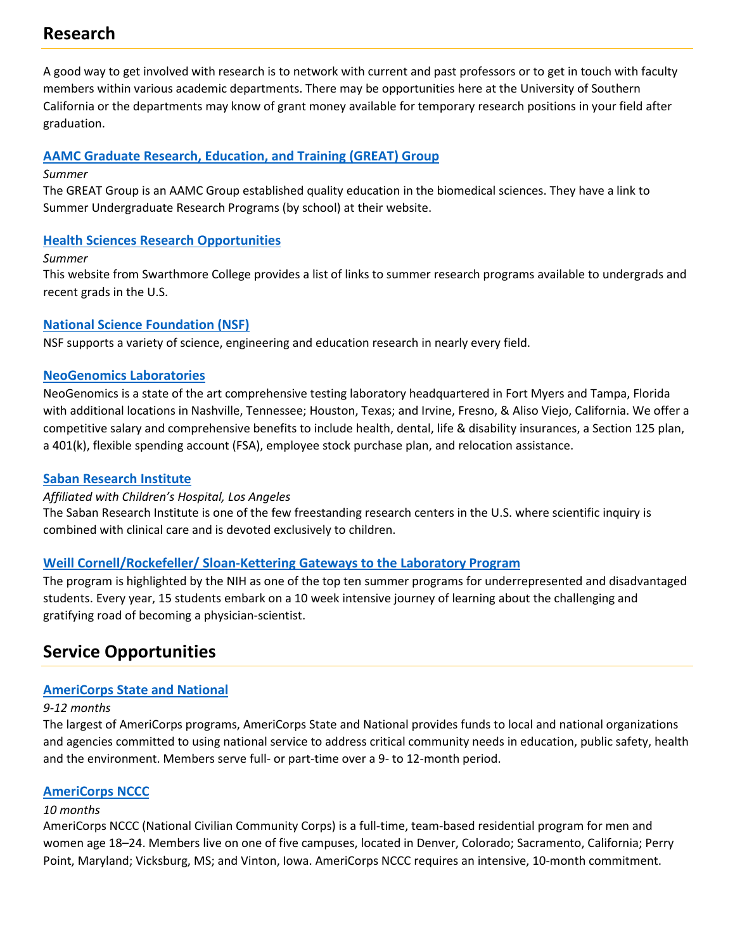# **Research**

A good way to get involved with research is to network with current and past professors or to get in touch with faculty members within various academic departments. There may be opportunities here at the University of Southern California or the departments may know of grant money available for temporary research positions in your field after graduation.

# **[AAMC Graduate Research, Education, and Training \(GREAT\) Group](https://www.aamc.org/members/great/)**

## *Summer*

The GREAT Group is an AAMC Group established quality education in the biomedical sciences. They have a link to Summer Undergraduate Research Programs (by school) at their website.

# **[Health Sciences Research Opportunities](http://www.swarthmore.edu/health-sciences-office/summer-opportunities)**

## *Summer*

This website from Swarthmore College provides a list of links to summer research programs available to undergrads and recent grads in the U.S.

# **[National Science Foundation \(NSF\)](http://www.nsf.gov/news/overviews/)**

NSF supports a variety of science, engineering and education research in nearly every field.

# **[NeoGenomics Laboratories](http://neogenomics.com/careers)**

NeoGenomics is a state of the art comprehensive testing laboratory headquartered in Fort Myers and Tampa, Florida with additional locations in Nashville, Tennessee; Houston, Texas; and Irvine, Fresno, & Aliso Viejo, California. We offer a competitive salary and comprehensive benefits to include health, dental, life & disability insurances, a Section 125 plan, a 401(k), flexible spending account (FSA), employee stock purchase plan, and relocation assistance.

# **[Saban Research Institute](http://www.chla.org/saban)**

# *Affiliated with Children's Hospital, Los Angeles*

The Saban Research Institute is one of the few freestanding research centers in the U.S. where scientific inquiry is combined with clinical care and is devoted exclusively to children.

# **[Weill Cornell/Rockefeller/ Sloan-Kettering Gateways to the Laboratory Program](http://www.weill.cornell.edu/mdphd/summerprogram/)**

The program is highlighted by the NIH as one of the top ten summer programs for underrepresented and disadvantaged students. Every year, 15 students embark on a 10 week intensive journey of learning about the challenging and gratifying road of becoming a physician-scientist.

# **Service Opportunities**

# **[AmeriCorps State and National](http://www.nationalservice.gov/programs/americorps/americorps-state-and-national)**

# *9-12 months*

The largest of AmeriCorps programs, AmeriCorps State and National provides funds to local and national organizations and agencies committed to using national service to address critical community needs in education, public safety, health and the environment. Members serve full- or part-time over a 9- to 12-month period.

# **[AmeriCorps NCCC](http://www.nationalservice.gov/programs/americorps/americorps-nccc)**

# *10 months*

AmeriCorps NCCC (National Civilian Community Corps) is a full-time, team-based residential program for men and women age 18–24. Members live on one of five campuses, located in Denver, Colorado; Sacramento, California; Perry Point, Maryland; Vicksburg, MS; and Vinton, Iowa. AmeriCorps NCCC requires an intensive, 10-month commitment.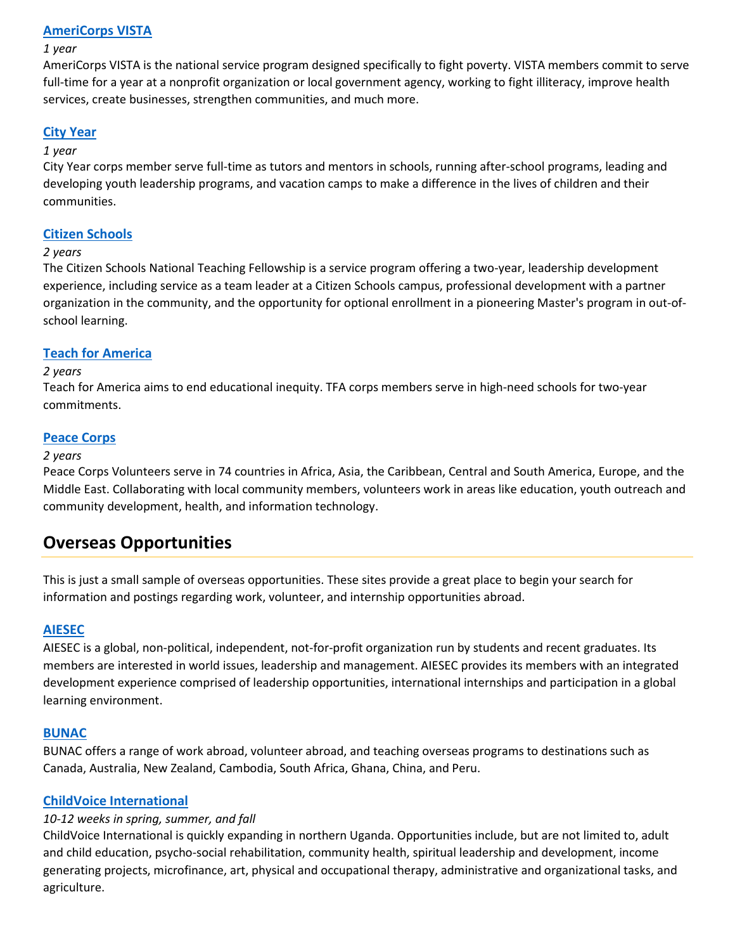## **[AmeriCorps VISTA](http://www.americorps.gov/)**

#### *1 year*

AmeriCorps VISTA is the national service program designed specifically to fight poverty. VISTA members commit to serve full-time for a year at a nonprofit organization or local government agency, working to fight illiteracy, improve health services, create businesses, strengthen communities, and much more.

## **[City Year](http://www.cityyear.org/)**

#### *1 year*

City Year corps member serve full-time as tutors and mentors in schools, running after-school programs, leading and developing youth leadership programs, and vacation camps to make a difference in the lives of children and their communities.

### **[Citizen Schools](http://www.citizenschools.org/)**

#### *2 years*

The Citizen Schools National Teaching Fellowship is a service program offering a two-year, leadership development experience, including service as a team leader at a Citizen Schools campus, professional development with a partner organization in the community, and the opportunity for optional enrollment in a pioneering Master's program in out-ofschool learning.

### **[Teach for America](http://www.teachforamerica.org/)**

#### *2 years*

Teach for America aims to end educational inequity. TFA corps members serve in high-need schools for two-year commitments.

#### **[Peace Corps](http://www.peacecorps.gov/)**

#### *2 years*

Peace Corps Volunteers serve in 74 countries in Africa, Asia, the Caribbean, Central and South America, Europe, and the Middle East. Collaborating with local community members, volunteers work in areas like education, youth outreach and community development, health, and information technology.

# **Overseas Opportunities**

This is just a small sample of overseas opportunities. These sites provide a great place to begin your search for information and postings regarding work, volunteer, and internship opportunities abroad.

### **[AIESEC](http://www.aiesec.org/)**

AIESEC is a global, non-political, independent, not-for-profit organization run by students and recent graduates. Its members are interested in world issues, leadership and management. AIESEC provides its members with an integrated development experience comprised of leadership opportunities, international internships and participation in a global learning environment.

### **[BUNAC](http://www.bunac.org/)**

BUNAC offers a range of work abroad, volunteer abroad, and teaching overseas programs to destinations such as Canada, Australia, New Zealand, Cambodia, South Africa, Ghana, China, and Peru.

### **[ChildVoice International](http://www.childvoiceintl.org/)**

### *10-12 weeks in spring, summer, and fall*

ChildVoice International is quickly expanding in northern Uganda. Opportunities include, but are not limited to, adult and child education, psycho-social rehabilitation, community health, spiritual leadership and development, income generating projects, microfinance, art, physical and occupational therapy, administrative and organizational tasks, and agriculture.